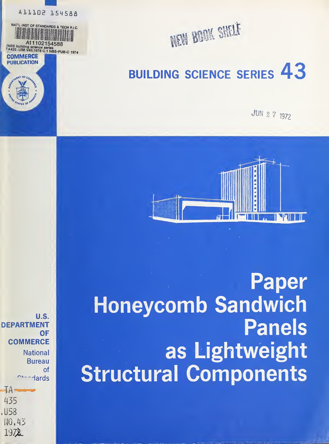AlllO2 154588







## BUILDING SCIENCE SERIES 43

**JUN 2 7 1972** 



## Paper Honeycomb Sandwich Panels as Lightweight Structural Components

U.S. DEPARTMENT OF **COMMERCE** National Bureau of  $C^{1}$ --dards  $TA$  . 435 .U58 NO. 43 1972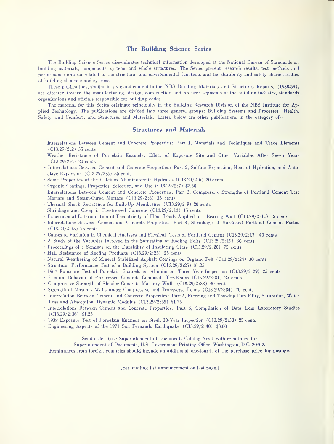#### The Building Science Series

The Building Science Series disseminates technical information developed at the National Bureau of Standards on building materials, components, systems and whole structures. The Series present research results, test methods and performance criteria related to the structural and environmental functions and the durability and safety characteristics of building elements and systems.

These publications, similar in style and content to the NBS Building Materials and Structures Reports, (1938-59), are directed toward the manufacturing, design, construction and research segments of the building industry, standards organizations and officials responsible for building codes.

The material for this Series originate principally in the Building Research Division of the NBS Institute for Applied Technology. The publications are divided into three general groups: Building Systems and Processes; Health, Safety, and Comfort; and Structures and Materials. Listed below are other publications in the category of-

#### Structures and Materials

- Interrelations Between Cement and Concrete Properties: Part 1, Materials and Techniques and Trace Elements (C13.29/2:2) 35 cents
- Weather Resistance of Porcelain Enamels: Effect of Exposure Site and Other Variables After Seven Years (C13.29/2:4) 20 cents
- Interrelations Between Cement and Concrete Properties : Part 2, Sulfate Expansion, Heat of Hydration, and Autoclave Expansion (CI3.29/2:5) 35 cents
- Some Properties of the Calcium Aluminoferrite Hydrates (C13.29/2:6) 20 cents
- Organic Coatings, Properties, Selection, and Use (C13.29/2:7) \$2.50
- Interrelations Between Cement and Concrete Properties: Part 3, Compressive Strengths of Portland Cement Test Mortars and Steam-Cured Mortars (Cl3.29/2:8) 35 cents
- Thermal Shock Resistance for Built-Up Membranes (Cl3.29/2:9) 20 cents
- Shrinkage and Creep in Prestressed Concrete (C13.29/2:13) 15 cents
- Experimental Determination of Eccentricity of Floor Loads Applied to a Bearing Wall (C13.29/2:14) 15 cents
- Interrelations Between Cement and Concrete Properties: Part 4, Shrinkage of Hardened Portland Cement Pastes (C13.29/2:15) 75 cents
- Causes of Variation in Chemical Analyses and Physical Tests of Portland Cement (C13.29/2:17) 40 cents
- A Study of the Variables Involved in the Saturating of Roofing Felts (C13.29/2:19) <sup>30</sup> cents
- Proceedings of a Seminar on the Durability of Insulating Glass (Cl3.29/2:20) 75 cents
- Hail Resistance of Roofing Products (C13.29/2:23) 25 cents
- Natural Weathering of Mineral Stabilized Asphalt Coatings on Organic Felt (C13.29/2:24) 30 cents
- Structural Performance Test of a Building System (C13.29/2:25) \$1.25
- <sup>1964</sup> Exposure Test of Porcelain Enamels on Aluminum—Three Year Inspection (C13.29/2:29) <sup>25</sup> cents
- Flexural Behavior of Prestressed Concrete Composite Tee-Beams (C13.29/2:31) 25 cents
- Compressive Strength of Slender Concrete Masonry Walls (C13.29/2:33) 40 cents
- Strength of Masonry Walls under Compressive and Transverse Loads (Cl3.29/2:34) 70 cents
- Interrelation Between Cement and Concrete Properties: Part 5, Freezing and Thawing Durability, Saturation, Water Loss and Absorption, Dynamic Modulus (C13.29/2:35) \$1.25
- Interrelations Between Cement and Concrete Properties: Part 6, Compilation of Data from Laboratory Studies (Cl3.29/2:36) \$1.25
- 1939 Exposure Test of Porcelain Enamels on Steel, 30- Year Inspection (C13.29/2:38) 25 cents
- Engineering Aspects of the 1971 San Fernando Earthquake (C13.29/2:40) \$3.00

Send order (use Superintendent of Documents Catalog Nos.) with remittance to:

Superintendent of Documents, U.S. Government Printing Office, Washington, D.C. 20402.

Remittances from foreign countries should include an additional one-fourth of the purchase price for postage.

[See mailing list announcement on last page.]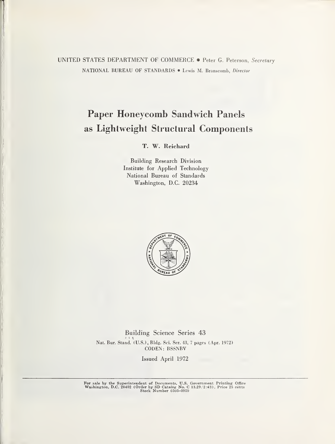UNITED STATES DEPARTMENT OF COMMERCE . Peter G. Peterson, Secretary NATIONAL BUREAU OF STANDARDS • Lewis M. Branscomb, Direcior

### Paper Honeycomb Sandwich Panels as Lightweight Structural Components

T. W. Reichard

Building Research Division Institute for Applied Technology National Bureau of Standards Washington, D.C. 20234



Building Science Series 43 Nat. Bur. Stand. (U.S.), Bldg. Sci. Ser. 43, 7 pages (Apr. 1972) CODEN: BSSNBV

Issued April 1972

For sale by the Superintendent of Documents, U.S. Government Printing Office Washington, D.C. 20402 (Order by SD Catalog No. C 13.29/2:43). Price 25 cents Stock Number 0303-0959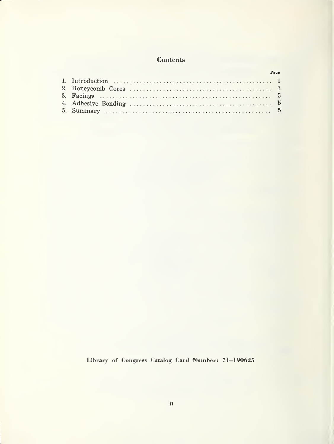#### **Contents**

|  | $P_{B}$ <i>re</i> |
|--|-------------------|
|  |                   |
|  |                   |
|  |                   |
|  |                   |
|  |                   |

Library of Congress Catalog Card Number: 71—190625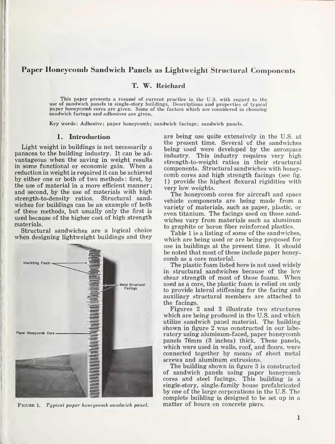#### Paper Honeycomb Sandwich Panels as Lightweight Structural Components

T. W. Reichard

This paper presents <sup>a</sup> resume of current practice in the U.S. with regard to the use of sandwich panels in single-story buildings. Descriptions and properties of typical paper honeycomb cores are given. Some of the factors which are considered in choosing sandwich facings and adhesives are given.

Key words: Adhesive; paper honeycomb; sandwich facings; sandwich panels.

#### 1. Introduction

Light weight in buildings is not necessarily a panacea to the building industry. It can be advantageous when the saving in weight results in some functional or economic gain. When a reduction in weight is required it can be achieved by either one or both of two methods : first, by the use of material in a more efficient manner and second, by the use of materials with high strength-to-density ratios. Structural sandwiches for buildings can be an example of both of these methods, but usually only the first is used because of the higher cost of high strength materials.

Structural sandwiches are a logical choice when designing lightweight buildings and they



FIGURE 1. Typical paper honeycomb sandwich panel.

are being use quite extensively in the U.S. at the present time. Several of the sandwiches being used were developed by the aerospace industry. This industry requires very high strength-to-weight ratios in their structural components. Structural sandwiches with honeycomb cores and high strength facings (see fig. 1) provide the highest flexural rigidities with very low weights.

The honeycomb cores for aircraft and space vehicle components are being made from a variety of materials, such as paper, plastic, or even titanium. The facings used on these sandwiches vary from materials such as aluminum to graphite or boron fiber reinforced plastics.

Table <sup>1</sup> is a listing of some of the sandwiches, which are being used or are being proposed for use in buildings at the present time. It should be noted that most of these include paper honeycomb as a core material.

The plastic foam listed here is not used widely in structural sandwiches because of the low shear strength of most of these foams. When used as a core, the plastic foam is relied on only to provide lateral stiffening for the facing and auxiliary structural members are attached to the facings.

Figures 2 and 3 illustrate two structures which are being produced in the U.S. and which utilize sandwich panel material. The building shown in figure 2 was constructed in our laboratory using aluminum-faced, paper honeycomb panels 76mm (3 inches) thick. These panels, which were used in walls, roof, and floors, were connected together by means of sheet metal screws and aluminum extrusions.

The building shown in figure 3 is constructed of sandwich panels using paper honeycomb cores and steel facings. This building is a single-story, single-family house prefabricated by one of the large corporations in the U.S. The complete building is designed to be set up in a matter of hours on concrete piers.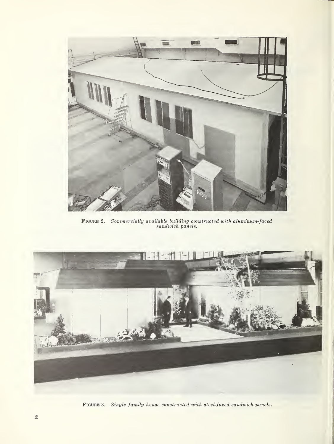

FIGURE 2. Commercially available building constructed with aluminum-faced sandwich panels.



FIGURE 3. Single family house constructed with steel-faced sandwich panels.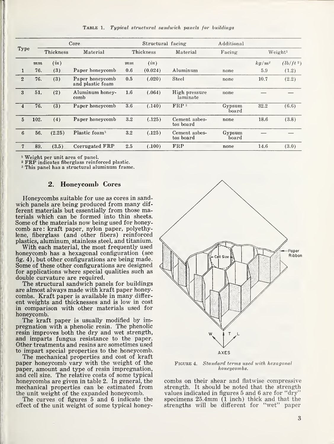|                 | Core      |        |                                     | Structural facing |         |                            | Additional      |                     |             |
|-----------------|-----------|--------|-------------------------------------|-------------------|---------|----------------------------|-----------------|---------------------|-------------|
| Type            | Thickness |        | Material                            | Thickness         |         | Material                   | Facing          | Weight <sup>1</sup> |             |
|                 | mm        | (in)   |                                     | $\,mm$            | (in)    |                            |                 | $kg/m^2$            | $(lb/ft^2)$ |
| 1               | 76.       | (3)    | Paper honeycomb                     | 0.6               | (0.024) | Aluminum                   | none            | 5.9                 | (1.2)       |
| $\mathbf{2}$    | 76.       | (3)    | Paper honeycomb<br>and plastic foam | 0.5               | (.020)  | Steel                      | none            | 10.7                | (2.2)       |
| 3               | 51.       | (2)    | Aluminum honey-<br>comb             | $1.6\,$           | (.064)  | High pressure<br>laminate  | none            |                     |             |
| 4               | 76.       | (3)    | Paper honeycomb                     | 3.6               | (.140)  | FRP <sup>2</sup>           | Gypsum<br>board | 32.2                | (6.6)       |
| $5\overline{a}$ | 102.      | (4)    | Paper honeycomb                     | 3.2               | (.125)  | Cement asbes-<br>tos board | none            | 18.6                | (3.8)       |
| 6               | 56.       | (2.25) | Plastic foam <sup>3</sup>           | 3.2               | (.125)  | Cement asbes-<br>tos board | Gypsum<br>board |                     |             |
| 7               | 89.       | (3.5)  | Corrugated FRP                      | 2.5               | (.100)  | FRP                        | none            | 14.6                | (3.0)       |

TABLE 1. Typical structural sandwich panels for buildings

<sup>1</sup> Weight per unit area of panel.

<sup>2</sup> FRP indicates fiberglass reinforced plastic.

<sup>3</sup> This panel has a structural aluminum frame.

#### 2. Honeycomb Cores

Honeycombs suitable for use as cores in sandwich panels are being produced from many different materials but essentially from those materials which can be formed into thin sheets. Some of the materials now being used for honeycomb are: kraft paper, nylon paper, polyethylene, fiberglass (and other fibers) reinforced plastics, aluminum, stainless steel, and titanium.

With each material, the most frequently used honeycomb has a hexagonal configuration (see fig. 4), but other configurations are being made. Some of these other configurations are designed for applications where special qualities such as double curvature are required.

The structural sandwich panels for buildings are almost always made with kraft paper honeycombs. Kraft paper is available in many diiferent weights and thicknesses and is low in cost in comparison with other materials used for honeycomb.

The kraft paper is usually modified by impregnation with a phenolic resin. The phenolic resin improves both the dry and wet strength, and imparts fungus resistance to the paper. Other treatments and resins are sometimes used to impart special properties to the honeycomb.

The mechanical properties and cost of kraft paper honeycomb vary with the weight of the paper, amount and type of resin impregnation, and cell size. The relative costs of some typical honeycombs are given in table 2. In general, the mechanical properties can be estimated from the unit weight of the expanded honeycomb.

The curves of figures 5 and 6 indicate the effect of the unit weight of some typical honey-



FIGURE 4. Standard terms used with hexagonal honeycombs.

combs on their shear and flatwise compressive strength. It should be noted that the strength values indicated in figures 5 and 6 are for "dry" specimens 25.4mm (1 inch) thick and that the strengths will be different for "wet" paper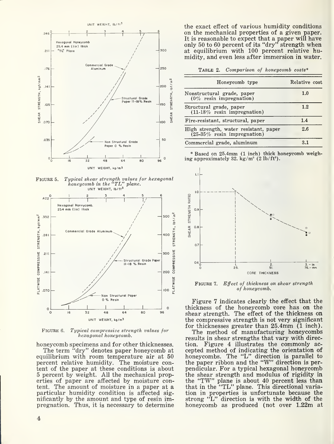

FIGURE 5. *Typical shear strength values for hexagonal*<br>honeycomb in the "TL" plane.<br><sup>UNIT WEIGHT, 1b/ft</sub>3</sup>



Figure 6. Typical compressive strength values for hexagonal honeycomb.

honeycomb specimens and for other thicknesses.

The term "dry" denotes paper honeycomb at equilibrium with room temperature air at 50 percent relative humidity. The moisture content of the paper at these conditions is about 5 percent by weight. All the mechanical properties of paper are affected by moisture content. The amount of moisture in a paper at a particular humidity condition is affected significantly by the amount and type of resin impregnation. Thus, it is necessary to determine the exact effect of various humidity conditions on the mechanical properties of a given paper. It is reasonable to expect that a paper will have only 50 to 60 percent of its "dry" strength when at equilibrium with 100 percent relative humidity, and even less after immersion in water.

Table 2. Comparison of honeycomb costs\*

| Honeycomb type                                                    | Relative cost   |
|-------------------------------------------------------------------|-----------------|
| Nonstructural grade, paper<br>$(0\%$ resin impregnation)          | 1.0             |
| Structural grade, paper<br>(11-18% resin impregnation)            | 1.2.            |
| Fire-resistant, structural, paper                                 | 1.4             |
| High strength, water resistant, paper (25-35% resin impregnation) | 2.6             |
| Commercial grade, aluminum                                        | $\overline{3}1$ |

\* Based on 25.4mm (1 inch) thick honeycomb weighing approximately 32.  $\text{kg/m}^3$  (2 lb/ft<sup>3</sup>).



FIGURE 7. Effect of thickness on shear strength of honeycomb.

Figure 7 indicates clearly the effect that the thickness of the honeycomb core has on the shear strength. The effect of the thickness on the compressive strength is not very significant for thicknesses greater than 25.4mm (1 inch).

The method of manufacturing honeycombs results in shear strengths that vary with direction. Figure 4 illustrates the commonly ac cepted method of indicating the orientation of honeycombs. The "L" direction is parallel to the paper ribbon and the "W" direction is perpendicular. For a typical hexagonal honeycomb the shear strength and modulus of rigidity in the "TW" plane is about 40 percent less than that in the "TL" plane. This directional variation in properties is unfortunate because the strong "L" direction is with the width of the honeycomb as produced (not over 1.22m at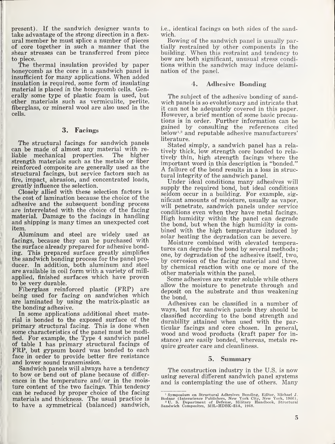present). If the sandwich designer wants to take advantage of the strong direction in a flex ural member he must splice a number of pieces of core together in such a manner that the shear stresses can be transferred from piece to piece.

The thermal insulation provided by paper honeycomb as the core in a sandwich panel is insufficient for many applications. When added insulation is required, some form of insulating material is placed in the honeycomb cells. Generally some type of plastic foam is used, but other materials such as vermiculite, perlite, fiberglass, or mineral wool are also used in the cells.

#### 3. Facings

The structural facings for sandwich panels can be made of almost any material with reliable mechanical properties. strength materials such as the metals or fiber reinforced composite are generally used as the structural facings, but service factors such as fire, impact, abrasion, and concentrated loads, greatly influence the selection.

Closely allied with these selection factors is the cost of lamination because the choice of the adhesive and the subsequent bonding process are interrelated with the choice of the facing material. Damage to the facings in handling and shipping is many times an unexpected cost item.

Aluminum and steel are widely used as facings, because they can be purchased with the surface already prepared for adhesive bonding. This prepared surface greatly simplifies the sandwich bonding process for the panel producer. In addition, both aluminum and steel are available in coil form with a variety of millapplied, finished surfaces which have proven to be very durable.

Fiberglass reinforced plastic (FRP) are being used for facing on sandwiches which are laminated by using the matrix-plastic as the bonding adhesive.

In some applications additional sheet material is bonded to the exposed surface of the primary structural facing. This is done when some characteristics of the panel must be modified. For example, the Type 4 sandwich panel of table <sup>1</sup> has primary structural facings of FRP, but gypsum board was bonded to each face in order to provide better fire resistance and lower sound transmission.

Sandwich panels will always have a tendency to bow or bend out of plane because of differ ences in the temperature and/or in the moisture content of the two facings. This tendency can be reduced by proper choice of the facing materials and thickness. The usual practice is to have a symmetrical (balanced) sandwich,

i.e., identical facings on both sides of the sandwich.

Bowing of the sandwich panel is usually partially restrained by other components in the bow are both significant, unusual stress conditions within the sandwich may induce delamination of the panel.

#### 4. Adhesive Bonding

The subject of the adhesive bonding of sandwich panels is so evolutionary and intricate that it can not be adequately covered in this paper. However, a brief mention of some basic precautions is in order. Further information can be gained by consulting the references cited below<sup>1,2</sup> and reputable adhesive manufacturers' literature.

Stated simply, a sandwich panel has a relatively thick, low strength core bonded to relatively thin, high strength facings where the important word in this description is "bonded." A failure of the bond results in <sup>a</sup> loss in struc tural integrity of the sandwich panel.

Under ideal conditions many adhesives will supply the required bond, but ideal conditions seldom occur in a building. For example, significant amounts of moisture, usually as vapor, will penetrate, sandwich panels under service conditions even when they have metal facings. High humidity within the panel can degrade the bond, but when the high humidity is combined with the high temperature induced by solar heating the degradation can be severe.

Moisture combined with elevated temperatures can degrade the bond by several methods one, by degradation of the adhesive itself, two, by corrosion of the facing material and three, by chemical reaction with one or more of the other materials within the panel.

Some adhesives are water soluble while others allow the moisture to penetrate through and deposit on the substrate and thus weakening the bond.

Adhesives can be classified in a number of ways, but for sandwich panels they should be classified according to the bond strength and durability attained when used with the particular facings and core chosen. In general, wood and wood products (kraft paper for in stance) are easily bonded, whereas, metals re quire greater care and cleanliness.

#### 5. Summary

The construction industry in the U.S. is now using several different sandwich panel systems and is contemplating the use of others. Many

<sup>^</sup> Symposium on Structural Adhesives Bonding, Editor, Michael J. Bodnar ( Interscience Publishers, New York City, New York, 1966). - U. S. Department of Defense, Military Handbook, Structural Sandwich Composites, MIL-HDBK-23A, 1968.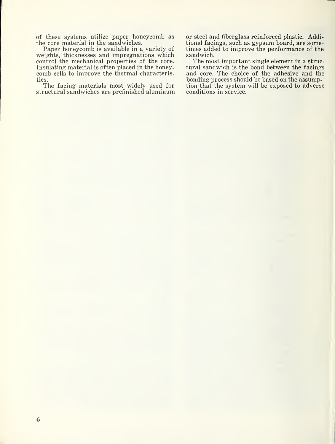of these systems utilize paper honeycomb as the core material in the sandwiches.

Paper honeycomb is available in a variety of weights, thicknesses and impregnations which control the mechanical properties of the core. Insulating material is often placed in the honeycomb cells to improve the thermal characteristics.

The facing materials most widely used for structural sandwiches are prefinished aluminum or steel and fiberglass reinforced plastic. Additional facings, such as gypsum board, are sometimes added to improve the performance of the sandwich.

The most important single element in a struc tural sandwich is the bond between the facings and core. The choice of the adhesive and the bonding process should be based on the assumption that the system will be exposed to adverse conditions in service.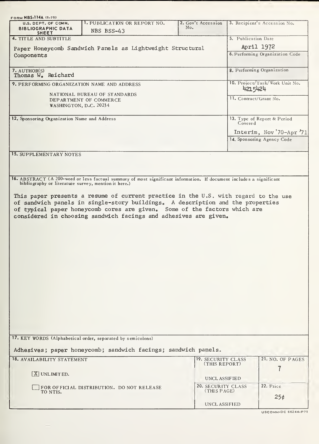| FORM NBS-114A (1-71)                                                                                                                                                                                                            |                           |                      |                                 |
|---------------------------------------------------------------------------------------------------------------------------------------------------------------------------------------------------------------------------------|---------------------------|----------------------|---------------------------------|
| 1. PUBLICATION OR REPORT NO.<br>U.S. DEPT. OF COMM.<br><b>BIBLIOGRAPHIC DATA</b><br>NBS BSS-43<br><b>SHEET</b>                                                                                                                  | 2. Gov't Accession<br>No. |                      | 3. Recipient's Accession No.    |
| 4. TITLE AND SUBTITLE                                                                                                                                                                                                           |                           | 5. Publication Date  |                                 |
| Paper Honeycomb Sandwich Panels as Lightweight Structural                                                                                                                                                                       |                           |                      | April 1972                      |
| Components                                                                                                                                                                                                                      |                           |                      | 6. Performing Organization Code |
| 7. AUTHOR(S)<br>Thomas W. Reichard                                                                                                                                                                                              |                           |                      | 8. Performing Organization      |
| 9. PERFORMING ORGANIZATION NAME AND ADDRESS                                                                                                                                                                                     |                           | 4215424              | 10. Project/Task/Work Unit No.  |
| NATIONAL BUREAU OF STANDARDS<br>DEPARTMENT OF COMMERCE<br>WASHINGTON, D.C. 20234                                                                                                                                                |                           |                      | 11. Contract/Grant No.          |
| 12. Sponsoring Organization Name and Address                                                                                                                                                                                    |                           | Covered              | 13. Type of Report & Period     |
|                                                                                                                                                                                                                                 |                           |                      | Interim, Nov '70-Apr '71        |
|                                                                                                                                                                                                                                 |                           |                      | 14. Sponsoring Agency Code      |
|                                                                                                                                                                                                                                 |                           |                      |                                 |
| This paper presents a resume of current practice in the U.S. with regard to the use                                                                                                                                             |                           |                      |                                 |
| of sandwich panels in single-story buildings. A description and the properties<br>of typical paper honeycomb cores are given. Some of the factors which are<br>considered in choosing sandwich facings and adhesives are given. |                           |                      |                                 |
| 17. KEY WORDS (Alphabetical order, separated by semicolons)<br>Adhesives; paper honeycomb; sandwich facings; sandwich panels.                                                                                                   |                           |                      |                                 |
|                                                                                                                                                                                                                                 | 19. SECURITY CLASS        | (THIS REPORT)        | 21. NO. OF PAGES                |
| 18. AVAILABILITY STATEMENT<br>$[X]$ UNLIMITED.                                                                                                                                                                                  |                           | <b>UNCL ASSIFIED</b> |                                 |
| FOR OFFICIAL DISTRIBUTION. DO NOT RELEASE                                                                                                                                                                                       | 20. SECURITY CLASS        |                      | 22. Price                       |
| TO NTIS.                                                                                                                                                                                                                        | (THIS PAGE)               |                      | 25¢                             |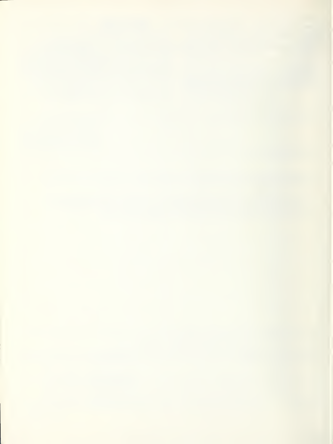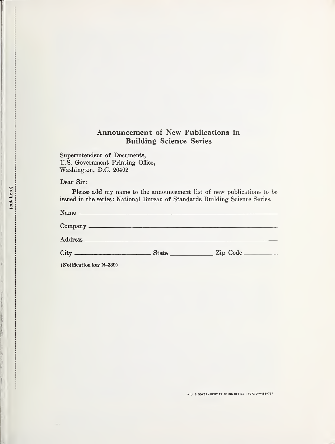#### Announcement of New Publications in Building Science Series

Superintendent of Documents, U.S. Government Printing Office, Washington, D.C. 20402

Dear Sir:

Please add my name to the announcement list of new publications to be issued in the series : National Bureau of Standards Building Science Series.

<u> 1997 - Johann John Stein, mars et al. 1998 - John Stein, mars et al. 1998 - John Stein, mars et al. 1998 - J</u>

Name

Company Address City StaJte Zip Code

(Notification key N-339)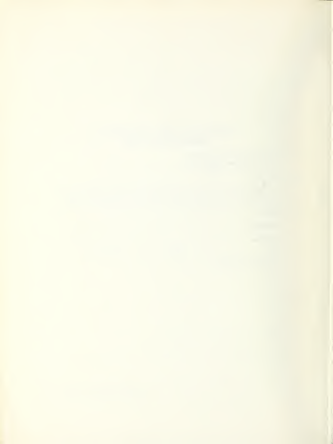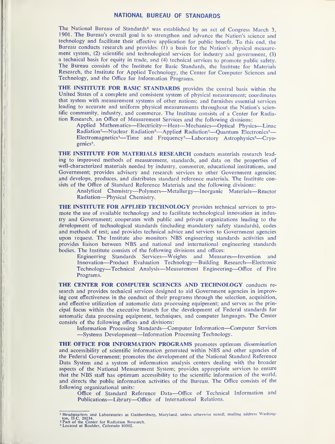#### NATIONAL BUREAU OF STANDARDS

The National Bureau of Standards<sup>1</sup> was established by an act of Congress March 3, 1901. The Bureau's overall goal is to strengthen and advance the Nation's science and technology and facilitate their effective application for public benefit. To this end, the Bureau conducts research and provides: (1) <sup>a</sup> basis for the Nation's physical measure ment system, (2) scientific and technological services for industry and government, (3) a technical basis for equity in trade, and (4) technical services to promote public safety. The Bureau consists of the Institute for Basic Standards, the Institute for Materials Research, the Institute for Applied Technology, the Center for Computer Sciences and Technology, and the Office for Information Programs.

THE INSTITUTE FOR BASIC STANDARDS provides the central basis within the United States of <sup>a</sup> complete and consistent system of physical measurement; coordinates that system with measurement systems of other nations; and furnishes essential services leading to accurate and uniform physical measurements throughout the Nation's scientific community, industry, and commerce. The Institute consists of a Center for Radiation Research, an Oflice of Measurement Services and the following divisions:

Applied Mathematics—Electricity—Heat—Mechanics—Optical Physics—Linac Radiation<sup>2</sup>—Nuclear Radiation<sup>2</sup>—Applied Radiation<sup>2</sup>—Quantum Electronics<sup>3</sup>— Electromagnetics<sup>3</sup>—Time and Frequency<sup>3</sup>—Laboratory Astrophysics<sup>3</sup>—Cryogenics<sup>3</sup>.

THE INSTITUTE FOR MATERIALS RESEARCH conducts materials research lead ing to improved methods of measurement, standards, and data on the properties of well-characterized materials needed by industry, commerce, educational institutions, and Government; provides advisory and research services to other Government agencies; and develops, produces, and distributes standard reference materials. The Institute consists of the Office of Standard Reference Materials and the following divisions:

Analytical Chemistry—Polymers—Metallurgy—Inorganic Materials—Reactor Radiation—Physical Chemistry.

THE INSTITUTE FOR APPLIED TECHNOLOGY provides technical services to pro mote the use of available technology and to facilitate technological innovation in industry and Government; cooperates with public and private organizations leading to the development of technological standards (including mandatory safety standards), codes and methods of test; and provides technical advice and services to Government agencies upon request. The Institute also monitors NBS engineering standards activities and provides liaison between NBS and national and international engineering standards bodies. The Institute consists of the following divisions and offices:

Engineering Standards Services—Weights and Measures—Invention and Innovation—Product Evaluation Technology—Building Research—Electronic Technology—Technical Analysis—Measurement Engineering—Office of Fire Programs.

THE CENTER FOR COMPUTER SCIENCES AND TECHNOLOGY conducts research and provides technical services designed to aid Government agencies in improving cost effectiveness in the conduct of their programs through the selection, acquisition, and effective utilization of automatic data processing equipment; and serves as the principal focus within the executive branch for the development of Federal standards for automatic data processing equipment, techniques, and computer languages. The Center consists of the following offices and divisions:

Information Processing Standards—Computer Information—Computer Services —Systems Development—Information Processing Technology.

THE OFFICE FOR INFORMATION PROGRAMS promotes optimum dissemination and accessibility of scientific information generated within NBS and other agencies of the Federal Government; promotes the development of the National Standard Reference Data System and a system of information analysis centers dealing with the broader aspects of the National Measurement System; provides appropriate services to ensure that the NBS staff has optimum accessibility to the scientific information of the world, and directs the public information activities of the Bureau. The Office consists of the following organizational units:

Office of Standard Reference Data—Office of Technical Information and Publications—Library—Office of International Relations.

<sup>1</sup> Headquarters and Laboratories at Gaithersburg, Maryland, unless otherwise noted; mailing address Washing-ton, D.C. 20234. - Part of the Center for Radiation Research.

<sup>&</sup>lt;sup>3</sup> Located at Boulder, Colorado 80302